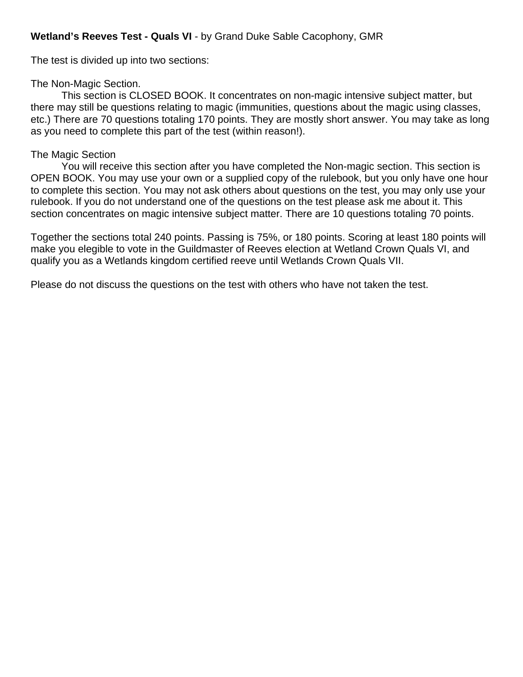## **Wetland's Reeves Test - Quals VI** - by Grand Duke Sable Cacophony, GMR

The test is divided up into two sections:

## The Non-Magic Section.

This section is CLOSED BOOK. It concentrates on non-magic intensive subject matter, but there may still be questions relating to magic (immunities, questions about the magic using classes, etc.) There are 70 questions totaling 170 points. They are mostly short answer. You may take as long as you need to complete this part of the test (within reason!).

## The Magic Section

You will receive this section after you have completed the Non-magic section. This section is OPEN BOOK. You may use your own or a supplied copy of the rulebook, but you only have one hour to complete this section. You may not ask others about questions on the test, you may only use your rulebook. If you do not understand one of the questions on the test please ask me about it. This section concentrates on magic intensive subject matter. There are 10 questions totaling 70 points.

Together the sections total 240 points. Passing is 75%, or 180 points. Scoring at least 180 points will make you elegible to vote in the Guildmaster of Reeves election at Wetland Crown Quals VI, and qualify you as a Wetlands kingdom certified reeve until Wetlands Crown Quals VII.

Please do not discuss the questions on the test with others who have not taken the test.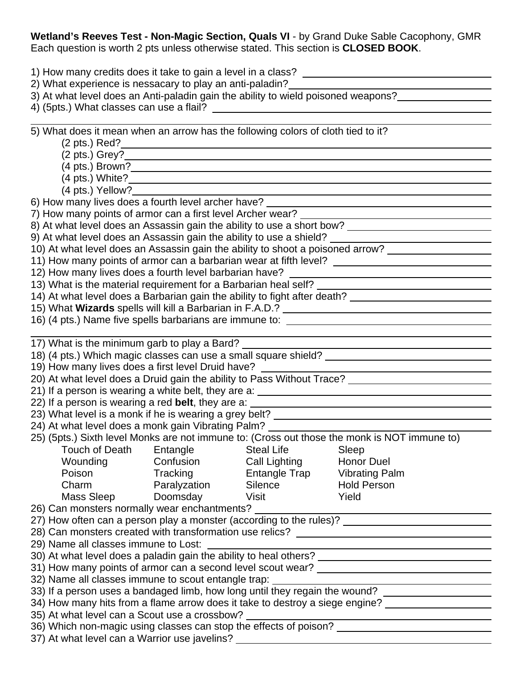**Wetland's Reeves Test - Non-Magic Section, Quals VI** - by Grand Duke Sable Cacophony, GMR Each question is worth 2 pts unless otherwise stated. This section is **CLOSED BOOK**.

| 1) How many credits does it take to gain a level in a class?<br>2) What experience is nessacary to play an anti-paladin?                                                                 |                                                                                                                                        |                                          |                                                                                              |  |  |  |  |  |
|------------------------------------------------------------------------------------------------------------------------------------------------------------------------------------------|----------------------------------------------------------------------------------------------------------------------------------------|------------------------------------------|----------------------------------------------------------------------------------------------|--|--|--|--|--|
| 3) At what level does an Anti-paladin gain the ability to wield poisoned weapons?                                                                                                        |                                                                                                                                        |                                          |                                                                                              |  |  |  |  |  |
| 4) (5pts.) What classes can use a flail?                                                                                                                                                 |                                                                                                                                        |                                          |                                                                                              |  |  |  |  |  |
|                                                                                                                                                                                          |                                                                                                                                        |                                          |                                                                                              |  |  |  |  |  |
| 5) What does it mean when an arrow has the following colors of cloth tied to it?                                                                                                         |                                                                                                                                        |                                          |                                                                                              |  |  |  |  |  |
|                                                                                                                                                                                          |                                                                                                                                        |                                          |                                                                                              |  |  |  |  |  |
|                                                                                                                                                                                          |                                                                                                                                        |                                          |                                                                                              |  |  |  |  |  |
|                                                                                                                                                                                          |                                                                                                                                        |                                          |                                                                                              |  |  |  |  |  |
|                                                                                                                                                                                          |                                                                                                                                        |                                          |                                                                                              |  |  |  |  |  |
| (4 pts.) Yellow?_____________<br>6) How many lives does a fourth level archer have? ___                                                                                                  |                                                                                                                                        |                                          |                                                                                              |  |  |  |  |  |
| 7) How many points of armor can a first level Archer wear?                                                                                                                               |                                                                                                                                        |                                          |                                                                                              |  |  |  |  |  |
|                                                                                                                                                                                          |                                                                                                                                        |                                          |                                                                                              |  |  |  |  |  |
|                                                                                                                                                                                          |                                                                                                                                        |                                          |                                                                                              |  |  |  |  |  |
| 10) At what level does an Assassin gain the ability to shoot a poisoned arrow?                                                                                                           |                                                                                                                                        |                                          |                                                                                              |  |  |  |  |  |
| 11) How many points of armor can a barbarian wear at fifth level? __________________________________                                                                                     |                                                                                                                                        |                                          |                                                                                              |  |  |  |  |  |
| 12) How many lives does a fourth level barbarian have?                                                                                                                                   |                                                                                                                                        |                                          |                                                                                              |  |  |  |  |  |
|                                                                                                                                                                                          |                                                                                                                                        |                                          |                                                                                              |  |  |  |  |  |
|                                                                                                                                                                                          |                                                                                                                                        |                                          | 14) At what level does a Barbarian gain the ability to fight after death?                    |  |  |  |  |  |
| 15) What Wizards spells will kill a Barbarian in F.A.D.? [18] Mannessen Matter and Mixtards and Mixtards and M                                                                           |                                                                                                                                        |                                          |                                                                                              |  |  |  |  |  |
|                                                                                                                                                                                          |                                                                                                                                        |                                          | 16) (4 pts.) Name five spells barbarians are immune to: _________________________            |  |  |  |  |  |
|                                                                                                                                                                                          |                                                                                                                                        |                                          |                                                                                              |  |  |  |  |  |
| 17) What is the minimum garb to play a Bard?                                                                                                                                             |                                                                                                                                        |                                          |                                                                                              |  |  |  |  |  |
|                                                                                                                                                                                          |                                                                                                                                        |                                          | 18) (4 pts.) Which magic classes can use a small square shield?                              |  |  |  |  |  |
| 19) How many lives does a first level Druid have?                                                                                                                                        |                                                                                                                                        |                                          |                                                                                              |  |  |  |  |  |
|                                                                                                                                                                                          |                                                                                                                                        |                                          |                                                                                              |  |  |  |  |  |
| 21) If a person is wearing a white belt, they are a: ____________________________                                                                                                        |                                                                                                                                        |                                          |                                                                                              |  |  |  |  |  |
|                                                                                                                                                                                          | 22) If a person is wearing a red belt, they are a:<br>23) What level is a monk if he is wearing a grey belt? _________________________ |                                          |                                                                                              |  |  |  |  |  |
| 24) At what level does a monk gain Vibrating Palm?                                                                                                                                       |                                                                                                                                        |                                          |                                                                                              |  |  |  |  |  |
|                                                                                                                                                                                          |                                                                                                                                        |                                          | 25) (5pts.) Sixth level Monks are not immune to: (Cross out those the monk is NOT immune to) |  |  |  |  |  |
|                                                                                                                                                                                          |                                                                                                                                        | Touch of Death Entangle Steal Life Sleep |                                                                                              |  |  |  |  |  |
| Wounding                                                                                                                                                                                 | Confusion                                                                                                                              | Call Lighting                            | Honor Duel                                                                                   |  |  |  |  |  |
| Poison                                                                                                                                                                                   | Tracking                                                                                                                               | Entangle Trap                            | <b>Vibrating Palm</b>                                                                        |  |  |  |  |  |
| Charm                                                                                                                                                                                    | Paralyzation                                                                                                                           | Silence                                  | <b>Hold Person</b>                                                                           |  |  |  |  |  |
| Mass Sleep                                                                                                                                                                               | Doomsday                                                                                                                               | <b>Visit</b>                             | Yield                                                                                        |  |  |  |  |  |
| 26) Can monsters normally wear enchantments? ___                                                                                                                                         |                                                                                                                                        |                                          |                                                                                              |  |  |  |  |  |
|                                                                                                                                                                                          |                                                                                                                                        |                                          |                                                                                              |  |  |  |  |  |
|                                                                                                                                                                                          |                                                                                                                                        |                                          |                                                                                              |  |  |  |  |  |
| <u> 1980 - Johann John Stone, mars eta biztanleria (</u>                                                                                                                                 |                                                                                                                                        |                                          |                                                                                              |  |  |  |  |  |
| 30) At what level does a paladin gain the ability to heal others? _________________________________                                                                                      |                                                                                                                                        |                                          |                                                                                              |  |  |  |  |  |
|                                                                                                                                                                                          |                                                                                                                                        |                                          |                                                                                              |  |  |  |  |  |
| 32) Name all classes immune to scout entangle trap:                                                                                                                                      |                                                                                                                                        |                                          |                                                                                              |  |  |  |  |  |
| 32) Ivanie all classes immune to scout entangle trap: ___________________________<br>33) If a person uses a bandaged limb, how long until they regain the wound? _______________________ |                                                                                                                                        |                                          |                                                                                              |  |  |  |  |  |
| 34) How many hits from a flame arrow does it take to destroy a siege engine?                                                                                                             |                                                                                                                                        |                                          |                                                                                              |  |  |  |  |  |
| 35) At what level can a Scout use a crossbow?                                                                                                                                            |                                                                                                                                        |                                          |                                                                                              |  |  |  |  |  |
|                                                                                                                                                                                          |                                                                                                                                        |                                          |                                                                                              |  |  |  |  |  |
| 37) At what level can a Warrior use javelins? __________________________________                                                                                                         |                                                                                                                                        |                                          |                                                                                              |  |  |  |  |  |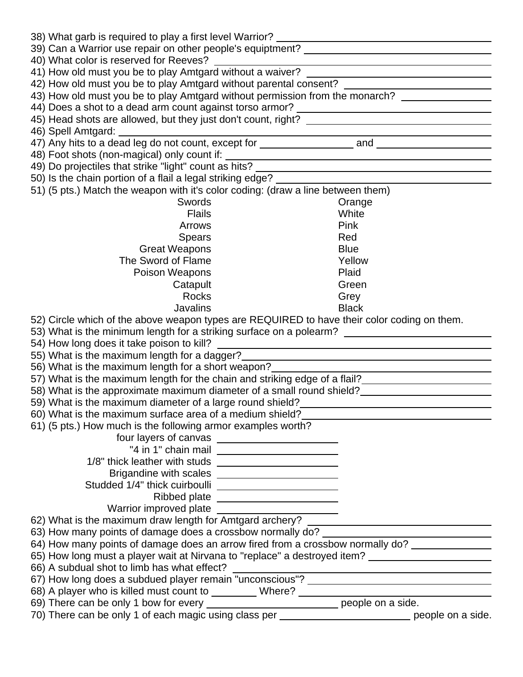| 40) What color is reserved for Reeves?                                                                                                                       |                                                                   |  |  |  |  |  |  |
|--------------------------------------------------------------------------------------------------------------------------------------------------------------|-------------------------------------------------------------------|--|--|--|--|--|--|
|                                                                                                                                                              |                                                                   |  |  |  |  |  |  |
|                                                                                                                                                              | 42) How old must you be to play Amtgard without parental consent? |  |  |  |  |  |  |
| 43) How old must you be to play Amtgard without permission from the monarch? ________________                                                                |                                                                   |  |  |  |  |  |  |
|                                                                                                                                                              |                                                                   |  |  |  |  |  |  |
|                                                                                                                                                              |                                                                   |  |  |  |  |  |  |
| 46) Spell Amtgard:                                                                                                                                           |                                                                   |  |  |  |  |  |  |
|                                                                                                                                                              |                                                                   |  |  |  |  |  |  |
|                                                                                                                                                              |                                                                   |  |  |  |  |  |  |
|                                                                                                                                                              |                                                                   |  |  |  |  |  |  |
|                                                                                                                                                              |                                                                   |  |  |  |  |  |  |
| 51) (5 pts.) Match the weapon with it's color coding: (draw a line between them)                                                                             |                                                                   |  |  |  |  |  |  |
| Swords                                                                                                                                                       | Orange                                                            |  |  |  |  |  |  |
| <b>Flails</b>                                                                                                                                                | White                                                             |  |  |  |  |  |  |
| Arrows                                                                                                                                                       | Pink                                                              |  |  |  |  |  |  |
| <b>Spears</b>                                                                                                                                                | Red                                                               |  |  |  |  |  |  |
| <b>Great Weapons</b>                                                                                                                                         | <b>Blue</b>                                                       |  |  |  |  |  |  |
| The Sword of Flame                                                                                                                                           | Yellow                                                            |  |  |  |  |  |  |
| Poison Weapons                                                                                                                                               | Plaid                                                             |  |  |  |  |  |  |
| Catapult                                                                                                                                                     | Green                                                             |  |  |  |  |  |  |
| <b>Rocks</b>                                                                                                                                                 | Grey                                                              |  |  |  |  |  |  |
| <b>Javalins</b>                                                                                                                                              | <b>Black</b>                                                      |  |  |  |  |  |  |
| 52) Circle which of the above weapon types are REQUIRED to have their color coding on them.                                                                  |                                                                   |  |  |  |  |  |  |
| 53) What is the minimum length for a striking surface on a polearm? ________________________________                                                         |                                                                   |  |  |  |  |  |  |
|                                                                                                                                                              |                                                                   |  |  |  |  |  |  |
| 55) What is the maximum length for a dagger?                                                                                                                 |                                                                   |  |  |  |  |  |  |
| 56) What is the maximum length for a short weapon?                                                                                                           | <u> 1989 - Johann Barnett, fransk politik (</u>                   |  |  |  |  |  |  |
|                                                                                                                                                              |                                                                   |  |  |  |  |  |  |
|                                                                                                                                                              |                                                                   |  |  |  |  |  |  |
|                                                                                                                                                              |                                                                   |  |  |  |  |  |  |
| 60) What is the maximum surface area of a medium shield?<br><u>Communities</u> of a medium shield?                                                           |                                                                   |  |  |  |  |  |  |
| 61) (5 pts.) How much is the following armor examples worth?                                                                                                 |                                                                   |  |  |  |  |  |  |
| four layers of canvas ________________________                                                                                                               |                                                                   |  |  |  |  |  |  |
|                                                                                                                                                              |                                                                   |  |  |  |  |  |  |
|                                                                                                                                                              |                                                                   |  |  |  |  |  |  |
| Brigandine with scales _________________________                                                                                                             |                                                                   |  |  |  |  |  |  |
| Studded 1/4" thick cuirboulli ___________________________                                                                                                    |                                                                   |  |  |  |  |  |  |
| Ribbed plate ________________________<br>Warrior improved plate                                                                                              |                                                                   |  |  |  |  |  |  |
|                                                                                                                                                              |                                                                   |  |  |  |  |  |  |
| 62) What is the maximum draw length for Amtgard archery?                                                                                                     |                                                                   |  |  |  |  |  |  |
| 63) How many points of damage does a crossbow normally do?<br>64) How many points of damage does an arrow fired from a crossbow normally do? _______________ |                                                                   |  |  |  |  |  |  |
| 65) How long must a player wait at Nirvana to "replace" a destroyed item? _________________________                                                          |                                                                   |  |  |  |  |  |  |
| 66) A subdual shot to limb has what effect?                                                                                                                  |                                                                   |  |  |  |  |  |  |
|                                                                                                                                                              |                                                                   |  |  |  |  |  |  |
| 68) A player who is killed must count to _________ Where? ______________________                                                                             |                                                                   |  |  |  |  |  |  |
| 69) There can be only 1 bow for every ______________________________ people on a side.                                                                       |                                                                   |  |  |  |  |  |  |
| 70) There can be only 1 of each magic using class per ___________________________ people on a side.                                                          |                                                                   |  |  |  |  |  |  |
|                                                                                                                                                              |                                                                   |  |  |  |  |  |  |